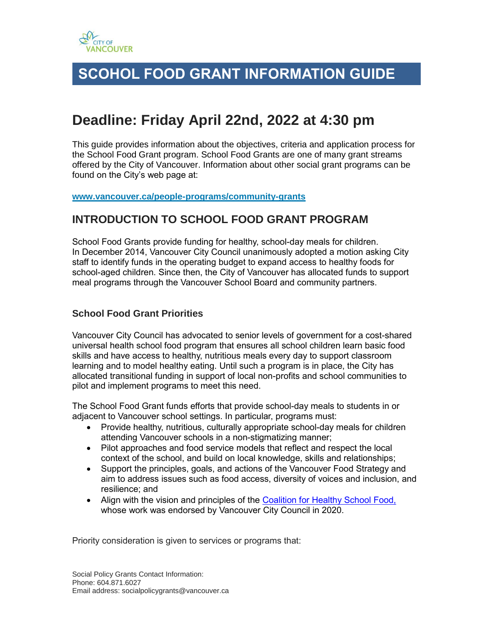

# **SCOHOL FOOD GRANT INFORMATION GUIDE**

# **Deadline: Friday April 22nd, 2022 at 4:30 pm**

This guide provides information about the objectives, criteria and application process for the School Food Grant program. School Food Grants are one of many grant streams offered by the City of Vancouver. Information about other social grant programs can be found on the City's web page at:

**[www.vancouver.ca/people-programs/community-grants](https://www.vancouver.ca/people-programs/community-grants)**

# **INTRODUCTION TO SCHOOL FOOD GRANT PROGRAM**

School Food Grants provide funding for healthy, school-day meals for children. In December 2014, Vancouver City Council unanimously adopted a motion asking City staff to identify funds in the operating budget to expand access to healthy foods for school-aged children. Since then, the City of Vancouver has allocated funds to support meal programs through the Vancouver School Board and community partners.

### **School Food Grant Priorities**

Vancouver City Council has advocated to senior levels of government for a cost-shared universal health school food program that ensures all school children learn basic food skills and have access to healthy, nutritious meals every day to support classroom learning and to model healthy eating. Until such a program is in place, the City has allocated transitional funding in support of local non-profits and school communities to pilot and implement programs to meet this need.

The School Food Grant funds efforts that provide school-day meals to students in or adjacent to Vancouver school settings. In particular, programs must:

- Provide healthy, nutritious, culturally appropriate school-day meals for children attending Vancouver schools in a non-stigmatizing manner;
- Pilot approaches and food service models that reflect and respect the local context of the school, and build on local knowledge, skills and relationships;
- Support the principles, goals, and actions of the Vancouver Food Strategy and aim to address issues such as food access, diversity of voices and inclusion, and resilience; and
- Align with the vision and principles of the [Coalition for Healthy School Food,](https://www.healthyschoolfood.ca/) whose work was endorsed by Vancouver City Council in 2020.

Priority consideration is given to services or programs that: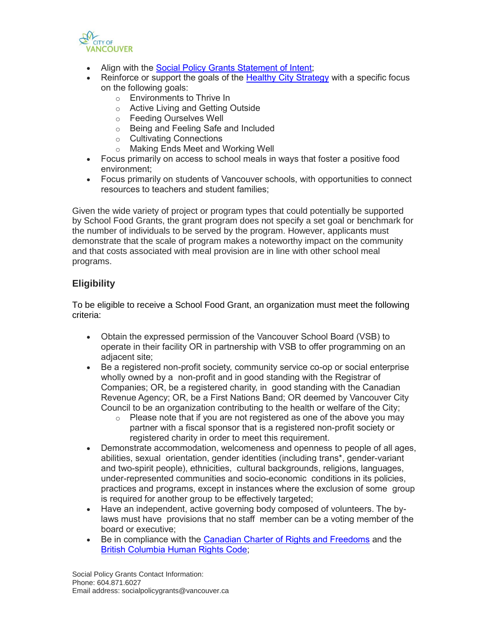

- Align with the [Social Policy Grants Statement of Intent;](https://vancouver.ca/people-programs/community-grants.aspx)
- Reinforce or support the goals of the [Healthy City Strategy](https://vancouver.ca/people-programs/healthy-city-strategy.aspx) with a specific focus on the following goals:
	- o Environments to Thrive In
	- o Active Living and Getting Outside
	- o Feeding Ourselves Well
	- o Being and Feeling Safe and Included
	- o Cultivating Connections
	- o Making Ends Meet and Working Well
- Focus primarily on access to school meals in ways that foster a positive food environment;
- Focus primarily on students of Vancouver schools, with opportunities to connect resources to teachers and student families;

Given the wide variety of project or program types that could potentially be supported by School Food Grants, the grant program does not specify a set goal or benchmark for the number of individuals to be served by the program. However, applicants must demonstrate that the scale of program makes a noteworthy impact on the community and that costs associated with meal provision are in line with other school meal programs.

# **Eligibility**

To be eligible to receive a School Food Grant, an organization must meet the following criteria:

- Obtain the expressed permission of the Vancouver School Board (VSB) to operate in their facility OR in partnership with VSB to offer programming on an adjacent site;
- Be a registered non-profit society, community service co-op or social enterprise wholly owned by a non-profit and in good standing with the Registrar of Companies; OR, be a registered charity, in good standing with the Canadian Revenue Agency; OR, be a First Nations Band; OR deemed by Vancouver City Council to be an organization contributing to the health or welfare of the City;
	- $\circ$  Please note that if you are not registered as one of the above you may partner with a fiscal sponsor that is a registered non-profit society or registered charity in order to meet this requirement.
- Demonstrate accommodation, welcomeness and openness to people of all ages, abilities, sexual orientation, gender identities (including trans\*, gender-variant and two-spirit people), ethnicities, cultural backgrounds, religions, languages, under-represented communities and socio-economic conditions in its policies, practices and programs, except in instances where the exclusion of some group is required for another group to be effectively targeted;
- Have an independent, active governing body composed of volunteers. The bylaws must have provisions that no staff member can be a voting member of the board or executive;
- Be in compliance with the [Canadian Charter of Rights and Freedoms](https://www.canada.ca/en/canadian-heritage/services/how-rights-protected/guide-canadian-charter-rights-freedoms.html) and the [British Columbia Human Rights Code;](https://www.bclaws.gov.bc.ca/civix/document/id/complete/statreg/00_96210_01)

Social Policy Grants Contact Information: Phone: 604.871.6027 Email address: socialpolicygrants@vancouver.ca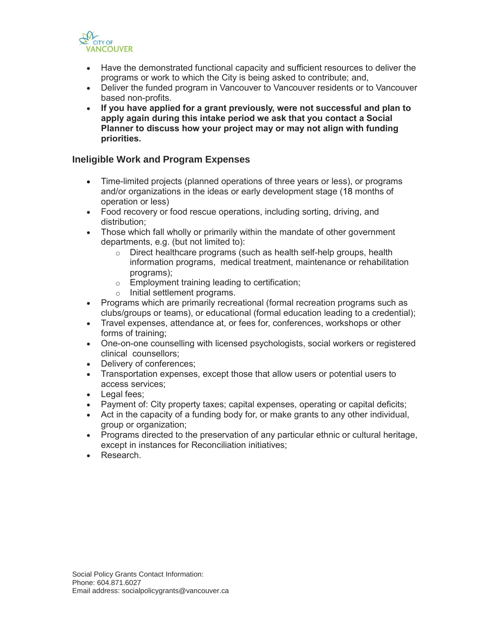

- Have the demonstrated functional capacity and sufficient resources to deliver the programs or work to which the City is being asked to contribute; and,
- Deliver the funded program in Vancouver to Vancouver residents or to Vancouver based non-profits.
- **If you have applied for a grant previously, were not successful and plan to apply again during this intake period we ask that you contact a Social Planner to discuss how your project may or may not align with funding priorities.**

#### **Ineligible Work and Program Expenses**

- Time-limited projects (planned operations of three years or less), or programs and/or organizations in the ideas or early development stage (18 months of operation or less)
- Food recovery or food rescue operations, including sorting, driving, and distribution;
- Those which fall wholly or primarily within the mandate of other government departments, e.g. (but not limited to):
	- $\circ$  Direct healthcare programs (such as health self-help groups, health information programs, medical treatment, maintenance or rehabilitation programs);
	- o Employment training leading to certification;
	- o Initial settlement programs.
- Programs which are primarily recreational (formal recreation programs such as clubs/groups or teams), or educational (formal education leading to a credential);
- Travel expenses, attendance at, or fees for, conferences, workshops or other forms of training;
- One-on-one counselling with licensed psychologists, social workers or registered clinical counsellors;
- Delivery of conferences:
- Transportation expenses, except those that allow users or potential users to access services;
- Legal fees;
- Payment of: City property taxes; capital expenses, operating or capital deficits;
- Act in the capacity of a funding body for, or make grants to any other individual, group or organization;
- Programs directed to the preservation of any particular ethnic or cultural heritage, except in instances for Reconciliation initiatives;
- Research.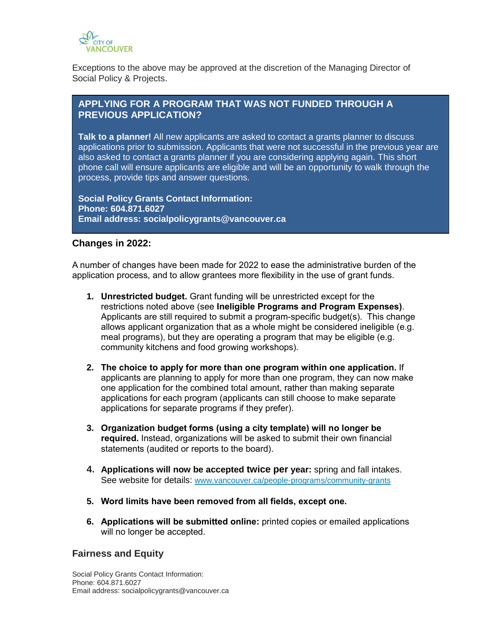

Exceptions to the above may be approved at the discretion of the Managing Director of Social Policy & Projects.

# **APPLYING FOR A PROGRAM THAT WAS NOT FUNDED THROUGH A PREVIOUS APPLICATION?**

**Talk to a planner!** All new applicants are asked to contact a grants planner to discuss applications prior to submission. Applicants that were not successful in the previous year are also asked to contact a grants planner if you are considering applying again. This short phone call will ensure applicants are eligible and will be an opportunity to walk through the process, provide tips and answer questions.

**Social Policy Grants Contact Information: Phone: 604.871.6027 Email address: socialpolicygrants@vancouver.ca**

#### **Changes in 2022:**

A number of changes have been made for 2022 to ease the administrative burden of the application process, and to allow grantees more flexibility in the use of grant funds.

- **1. Unrestricted budget.** Grant funding will be unrestricted except for the restrictions noted above (see **Ineligible Programs and Program Expenses)**. Applicants are still required to submit a program-specific budget(s). This change allows applicant organization that as a whole might be considered ineligible (e.g. meal programs), but they are operating a program that may be eligible (e.g. community kitchens and food growing workshops).
- **2. The choice to apply for more than one program within one application.** If applicants are planning to apply for more than one program, they can now make one application for the combined total amount, rather than making separate applications for each program (applicants can still choose to make separate applications for separate programs if they prefer).
- **3. Organization budget forms (using a city template) will no longer be required.** Instead, organizations will be asked to submit their own financial statements (audited or reports to the board).
- **4. Applications will now be accepted twice per year:** spring and fall intakes. See website for details: [www.vancouver.ca/people-programs/community-grants](https://www.vancouver.ca/people-programs/community-grants)
- **5. Word limits have been removed from all fields, except one.**
- **6. Applications will be submitted online:** printed copies or emailed applications will no longer be accepted.

# **Fairness and Equity**

Social Policy Grants Contact Information: Phone: 604.871.6027 Email address: socialpolicygrants@vancouver.ca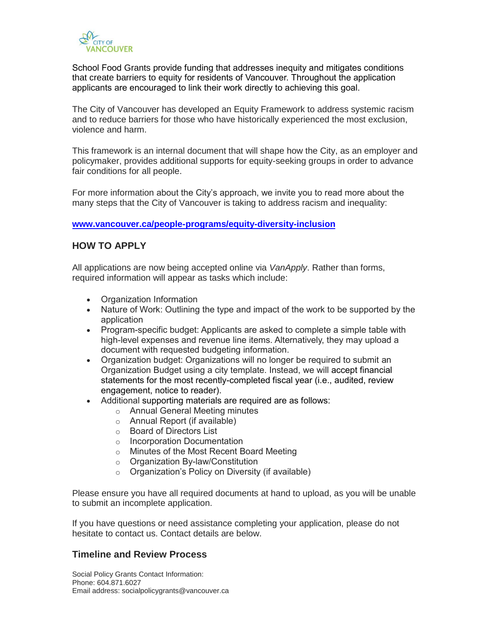

School Food Grants provide funding that addresses inequity and mitigates conditions that create barriers to equity for residents of Vancouver. Throughout the application applicants are encouraged to link their work directly to achieving this goal.

The City of Vancouver has developed an Equity Framework to address systemic racism and to reduce barriers for those who have historically experienced the most exclusion, violence and harm.

This framework is an internal document that will shape how the City, as an employer and policymaker, provides additional supports for equity-seeking groups in order to advance fair conditions for all people.

For more information about the City's approach, we invite you to read more about the many steps that the City of Vancouver is taking to address racism and inequality:

#### **[www.vancouver.ca/people-programs/equity-diversity-inclusion](http://www.vancouver.ca/people-programs/equity-diversity-inclusion)**

# **HOW TO APPLY**

All applications are now being accepted online via *VanApply*. Rather than forms, required information will appear as tasks which include:

- Organization Information
- Nature of Work: Outlining the type and impact of the work to be supported by the application
- Program-specific budget: Applicants are asked to complete a simple table with high-level expenses and revenue line items. Alternatively, they may upload a document with requested budgeting information.
- Organization budget: Organizations will no longer be required to submit an Organization Budget using a city template. Instead, we will accept financial statements for the most recently-completed fiscal year (i.e., audited, review engagement, notice to reader).
- Additional supporting materials are required are as follows:
	- o Annual General Meeting minutes
	- o Annual Report (if available)
	- o Board of Directors List
	- o Incorporation Documentation
	- o Minutes of the Most Recent Board Meeting
	- o Organization By-law/Constitution
	- o Organization's Policy on Diversity (if available)

Please ensure you have all required documents at hand to upload, as you will be unable to submit an incomplete application.

If you have questions or need assistance completing your application, please do not hesitate to contact us. Contact details are below.

#### **Timeline and Review Process**

Social Policy Grants Contact Information: Phone: 604.871.6027 Email address: socialpolicygrants@vancouver.ca